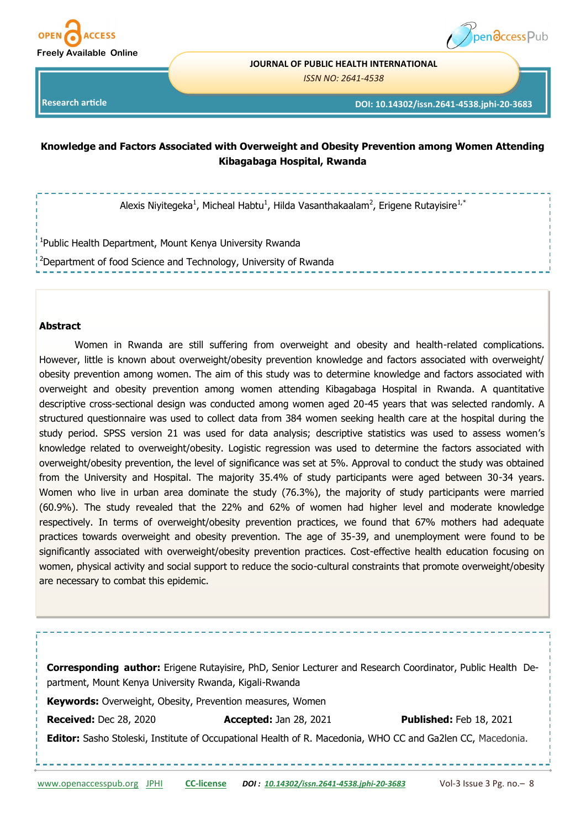



#### **JOURNAL OF PUBLIC HEALTH INTERNATIONAL**

*ISSN NO: 2641-4538* 

**Research article** 

**DOI: 10.14302/issn.2641-4538.jphi-20-3683**

## **Knowledge and Factors Associated with Overweight and Obesity Prevention among Women Attending Kibagabaga Hospital, Rwanda**

Alexis Niyitegeka<sup>1</sup>, Micheal Habtu<sup>1</sup>, Hilda Vasanthakaalam<sup>2</sup>, Erigene Rutayisire<sup>1,\*</sup>

<sup>1</sup>Public Health Department, Mount Kenya University Rwanda

<sup>2</sup>Department of food Science and Technology, University of Rwanda

#### **Abstract**

Women in Rwanda are still suffering from overweight and obesity and health-related complications. However, little is known about overweight/obesity prevention knowledge and factors associated with overweight/ obesity prevention among women. The aim of this study was to determine knowledge and factors associated with overweight and obesity prevention among women attending Kibagabaga Hospital in Rwanda. A quantitative descriptive cross-sectional design was conducted among women aged 20-45 years that was selected randomly. A structured questionnaire was used to collect data from 384 women seeking health care at the hospital during the study period. SPSS version 21 was used for data analysis; descriptive statistics was used to assess women's knowledge related to overweight/obesity. Logistic regression was used to determine the factors associated with overweight/obesity prevention, the level of significance was set at 5%. Approval to conduct the study was obtained from the University and Hospital. The majority 35.4% of study participants were aged between 30-34 years. Women who live in urban area dominate the study (76.3%), the majority of study participants were married (60.9%). The study revealed that the 22% and 62% of women had higher level and moderate knowledge respectively. In terms of overweight/obesity prevention practices, we found that 67% mothers had adequate practices towards overweight and obesity prevention. The age of 35-39, and unemployment were found to be significantly associated with overweight/obesity prevention practices. Cost-effective health education focusing on women, physical activity and social support to reduce the socio-cultural constraints that promote overweight/obesity are necessary to combat this epidemic.

| partment, Mount Kenya University Rwanda, Kigali-Rwanda    | <b>Corresponding author:</b> Erigene Rutayisire, PhD, Senior Lecturer and Research Coordinator, Public Health De- |                                |
|-----------------------------------------------------------|-------------------------------------------------------------------------------------------------------------------|--------------------------------|
| Keywords: Overweight, Obesity, Prevention measures, Women |                                                                                                                   |                                |
| <b>Received: Dec 28, 2020</b>                             | <b>Accepted: Jan 28, 2021</b>                                                                                     | <b>Published: Feb 18, 2021</b> |
|                                                           | <b>Editor:</b> Sasho Stoleski, Institute of Occupational Health of R. Macedonia, WHO CC and Ga2len CC, Macedonia. |                                |
|                                                           |                                                                                                                   |                                |
|                                                           |                                                                                                                   |                                |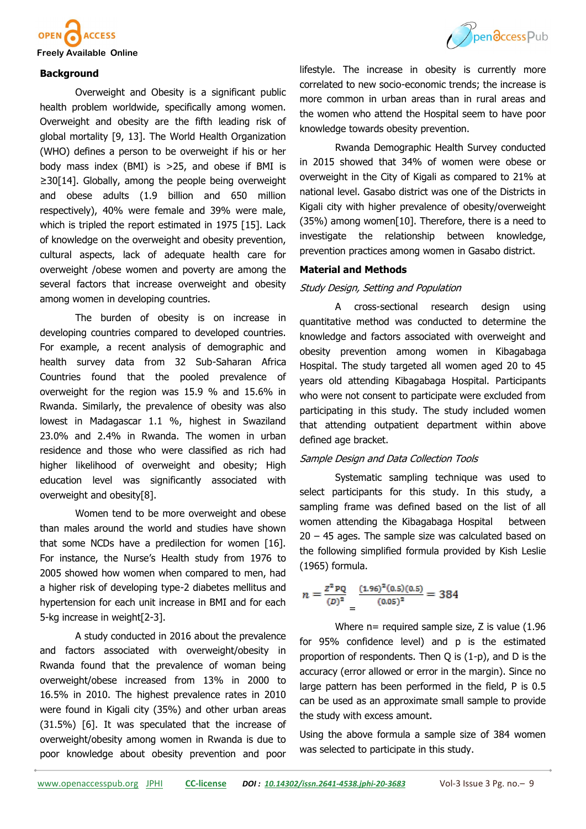

#### **Background**

Overweight and Obesity is a significant public health problem worldwide, specifically among women. Overweight and obesity are the fifth leading risk of global mortality [9, 13]. The World Health Organization (WHO) defines a person to be overweight if his or her body mass index (BMI) is >25, and obese if BMI is ≥30[14]. Globally, among the people being overweight and obese adults (1.9 billion and 650 million respectively), 40% were female and 39% were male, which is tripled the report estimated in 1975 [15]. Lack of knowledge on the overweight and obesity prevention, cultural aspects, lack of adequate health care for overweight /obese women and poverty are among the several factors that increase overweight and obesity among women in developing countries.

The burden of obesity is on increase in developing countries compared to developed countries. For example, a recent analysis of demographic and health survey data from 32 Sub-Saharan Africa Countries found that the pooled prevalence of overweight for the region was 15.9 % and 15.6% in Rwanda. Similarly, the prevalence of obesity was also lowest in Madagascar 1.1 %, highest in Swaziland 23.0% and 2.4% in Rwanda. The women in urban residence and those who were classified as rich had higher likelihood of overweight and obesity; High education level was significantly associated with overweight and obesity[8].

Women tend to be more overweight and obese than males around the world and studies have shown that some NCDs have a predilection for women [16]. For instance, the Nurse's Health study from 1976 to 2005 showed how women when compared to men, had a higher risk of developing type-2 diabetes mellitus and hypertension for each unit increase in BMI and for each 5-kg increase in weight[2-3].

A study conducted in 2016 about the prevalence and factors associated with overweight/obesity in Rwanda found that the prevalence of woman being overweight/obese increased from 13% in 2000 to 16.5% in 2010. The highest prevalence rates in 2010 were found in Kigali city (35%) and other urban areas (31.5%) [6]. It was speculated that the increase of overweight/obesity among women in Rwanda is due to poor knowledge about obesity prevention and poor



lifestyle. The increase in obesity is currently more correlated to new socio-economic trends; the increase is more common in urban areas than in rural areas and the women who attend the Hospital seem to have poor knowledge towards obesity prevention.

Rwanda Demographic Health Survey conducted in 2015 showed that 34% of women were obese or overweight in the City of Kigali as compared to 21% at national level. Gasabo district was one of the Districts in Kigali city with higher prevalence of obesity/overweight (35%) among women[10]. Therefore, there is a need to investigate the relationship between knowledge, prevention practices among women in Gasabo district.

#### **Material and Methods**

#### Study Design, Setting and Population

A cross-sectional research design using quantitative method was conducted to determine the knowledge and factors associated with overweight and obesity prevention among women in Kibagabaga Hospital. The study targeted all women aged 20 to 45 years old attending Kibagabaga Hospital. Participants who were not consent to participate were excluded from participating in this study. The study included women that attending outpatient department within above defined age bracket.

#### Sample Design and Data Collection Tools

Systematic sampling technique was used to select participants for this study. In this study, a sampling frame was defined based on the list of all women attending the Kibagabaga Hospital between 20 – 45 ages. The sample size was calculated based on the following simplified formula provided by Kish Leslie (1965) formula.

$$
n = \frac{z^2 \, \text{PQ}}{(D)^2} = \frac{(1.96)^2 (0.5) (0.5)}{(0.05)^2} = 384
$$

Where n= required sample size, Z is value (1.96) for 95% confidence level) and p is the estimated proportion of respondents. Then Q is (1-p), and D is the accuracy (error allowed or error in the margin). Since no large pattern has been performed in the field, P is 0.5 can be used as an approximate small sample to provide the study with excess amount.

Using the above formula a sample size of 384 women was selected to participate in this study.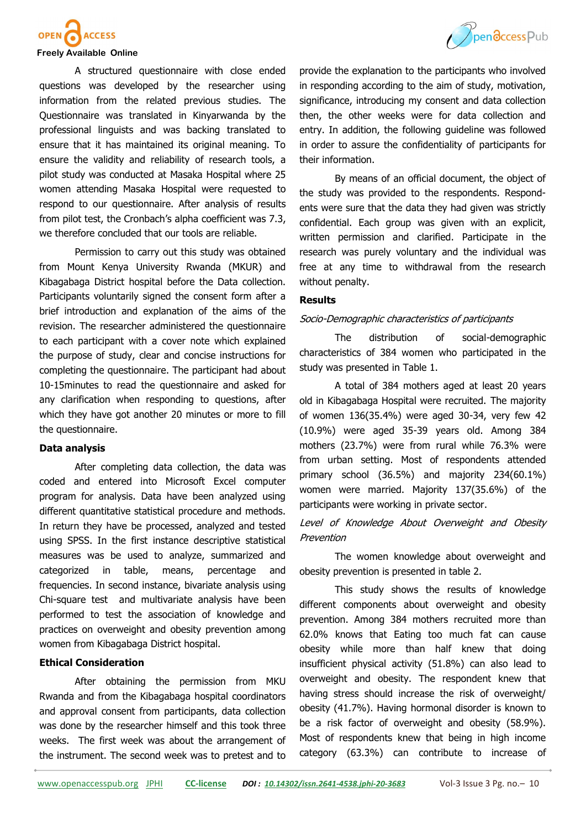

# OPEN ACCESS

#### **Freely Available Online**

A structured questionnaire with close ended questions was developed by the researcher using information from the related previous studies. The Questionnaire was translated in Kinyarwanda by the professional linguists and was backing translated to ensure that it has maintained its original meaning. To ensure the validity and reliability of research tools, a pilot study was conducted at Masaka Hospital where 25 women attending Masaka Hospital were requested to respond to our questionnaire. After analysis of results from pilot test, the Cronbach's alpha coefficient was 7.3, we therefore concluded that our tools are reliable.

Permission to carry out this study was obtained from Mount Kenya University Rwanda (MKUR) and Kibagabaga District hospital before the Data collection. Participants voluntarily signed the consent form after a brief introduction and explanation of the aims of the revision. The researcher administered the questionnaire to each participant with a cover note which explained the purpose of study, clear and concise instructions for completing the questionnaire. The participant had about 10-15minutes to read the questionnaire and asked for any clarification when responding to questions, after which they have got another 20 minutes or more to fill the questionnaire.

## **Data analysis**

After completing data collection, the data was coded and entered into Microsoft Excel computer program for analysis. Data have been analyzed using different quantitative statistical procedure and methods. In return they have be processed, analyzed and tested using SPSS. In the first instance descriptive statistical measures was be used to analyze, summarized and categorized in table, means, percentage and frequencies. In second instance, bivariate analysis using Chi-square test and multivariate analysis have been performed to test the association of knowledge and practices on overweight and obesity prevention among women from Kibagabaga District hospital.

#### **Ethical Consideration**

After obtaining the permission from MKU Rwanda and from the Kibagabaga hospital coordinators and approval consent from participants, data collection was done by the researcher himself and this took three weeks. The first week was about the arrangement of the instrument. The second week was to pretest and to

provide the explanation to the participants who involved in responding according to the aim of study, motivation, significance, introducing my consent and data collection then, the other weeks were for data collection and entry. In addition, the following guideline was followed in order to assure the confidentiality of participants for their information.

By means of an official document, the object of the study was provided to the respondents. Respondents were sure that the data they had given was strictly confidential. Each group was given with an explicit, written permission and clarified. Participate in the research was purely voluntary and the individual was free at any time to withdrawal from the research without penalty.

### **Results**

#### Socio-Demographic characteristics of participants

The distribution of social-demographic characteristics of 384 women who participated in the study was presented in Table 1.

A total of 384 mothers aged at least 20 years old in Kibagabaga Hospital were recruited. The majority of women 136(35.4%) were aged 30-34, very few 42 (10.9%) were aged 35-39 years old. Among 384 mothers (23.7%) were from rural while 76.3% were from urban setting. Most of respondents attended primary school (36.5%) and majority 234(60.1%) women were married. Majority 137(35.6%) of the participants were working in private sector.

## Level of Knowledge About Overweight and Obesity Prevention

The women knowledge about overweight and obesity prevention is presented in table 2.

This study shows the results of knowledge different components about overweight and obesity prevention. Among 384 mothers recruited more than 62.0% knows that Eating too much fat can cause obesity while more than half knew that doing insufficient physical activity (51.8%) can also lead to overweight and obesity. The respondent knew that having stress should increase the risk of overweight/ obesity (41.7%). Having hormonal disorder is known to be a risk factor of overweight and obesity (58.9%). Most of respondents knew that being in high income category (63.3%) can contribute to increase of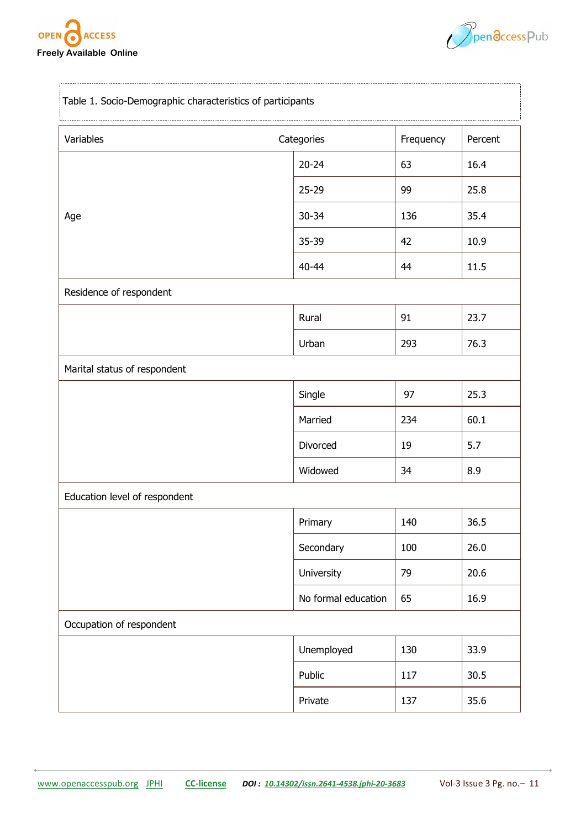



| Table 1. Socio-Demographic characteristics of participants |                     |     |         |
|------------------------------------------------------------|---------------------|-----|---------|
| Variables                                                  | Categories          |     | Percent |
|                                                            | $20 - 24$           | 63  | 16.4    |
|                                                            | $25 - 29$           | 99  | 25.8    |
| Age                                                        | $30 - 34$           | 136 | 35.4    |
|                                                            | 35-39               | 42  | 10.9    |
|                                                            | 40-44               | 44  | 11.5    |
| Residence of respondent                                    |                     |     |         |
|                                                            | Rural               | 91  | 23.7    |
|                                                            | Urban               | 293 | 76.3    |
| Marital status of respondent                               |                     |     |         |
|                                                            | Single              | 97  | 25.3    |
|                                                            | Married             | 234 | 60.1    |
|                                                            | Divorced            | 19  | 5.7     |
|                                                            | Widowed             | 34  | 8.9     |
| Education level of respondent                              |                     |     |         |
|                                                            | Primary             | 140 | 36.5    |
|                                                            | Secondary           | 100 | 26.0    |
|                                                            | University          | 79  | 20.6    |
|                                                            | No formal education | 65  | 16.9    |
| Occupation of respondent                                   |                     |     |         |
|                                                            | Unemployed          | 130 | 33.9    |
|                                                            | Public              | 117 | 30.5    |
|                                                            | Private             | 137 | 35.6    |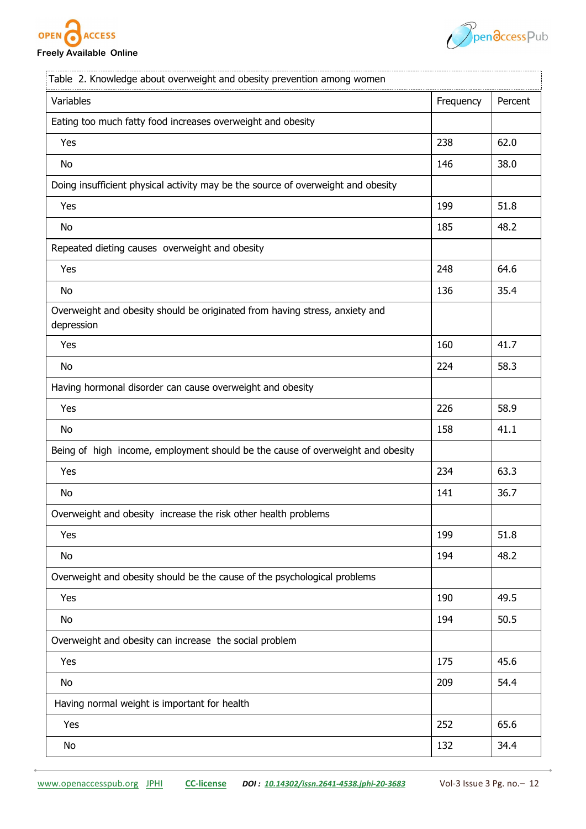

**Freely Available Online**



| Table 2. Knowledge about overweight and obesity prevention among women                    |           |         |
|-------------------------------------------------------------------------------------------|-----------|---------|
| Variables                                                                                 | Frequency | Percent |
| Eating too much fatty food increases overweight and obesity                               |           |         |
| Yes                                                                                       | 238       | 62.0    |
| No                                                                                        | 146       | 38.0    |
| Doing insufficient physical activity may be the source of overweight and obesity          |           |         |
| Yes                                                                                       | 199       | 51.8    |
| No                                                                                        | 185       | 48.2    |
| Repeated dieting causes overweight and obesity                                            |           |         |
| Yes                                                                                       | 248       | 64.6    |
| No                                                                                        | 136       | 35.4    |
| Overweight and obesity should be originated from having stress, anxiety and<br>depression |           |         |
| Yes                                                                                       | 160       | 41.7    |
| No                                                                                        | 224       | 58.3    |
| Having hormonal disorder can cause overweight and obesity                                 |           |         |
| Yes                                                                                       | 226       | 58.9    |
| No                                                                                        | 158       | 41.1    |
| Being of high income, employment should be the cause of overweight and obesity            |           |         |
| Yes                                                                                       | 234       | 63.3    |
| No                                                                                        | 141       | 36.7    |
| Overweight and obesity increase the risk other health problems                            |           |         |
| Yes                                                                                       | 199       | 51.8    |
| No                                                                                        | 194       | 48.2    |
| Overweight and obesity should be the cause of the psychological problems                  |           |         |
| Yes                                                                                       | 190       | 49.5    |
| No                                                                                        | 194       | 50.5    |
| Overweight and obesity can increase the social problem                                    |           |         |
| Yes                                                                                       | 175       | 45.6    |
| No                                                                                        | 209       | 54.4    |
| Having normal weight is important for health                                              |           |         |
| Yes                                                                                       | 252       | 65.6    |
| No                                                                                        | 132       | 34.4    |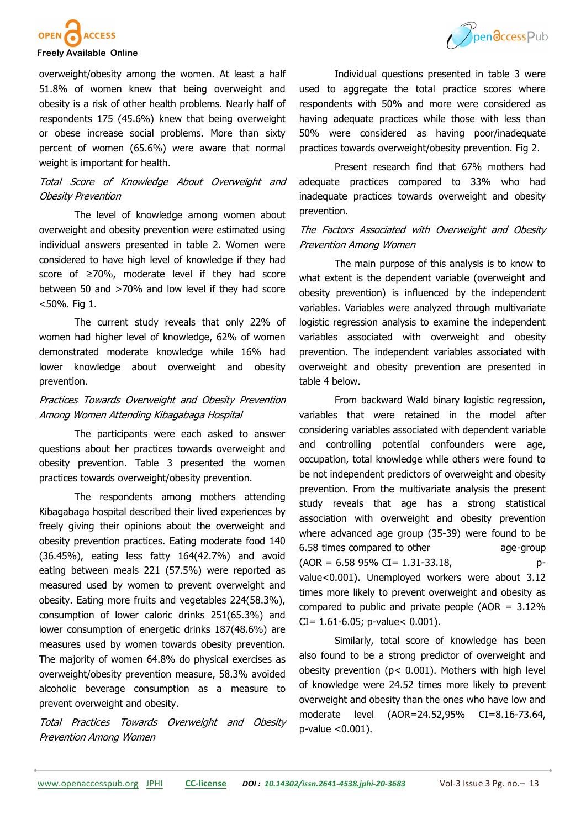

#### **Freely Available Online**

overweight/obesity among the women. At least a half 51.8% of women knew that being overweight and obesity is a risk of other health problems. Nearly half of respondents 175 (45.6%) knew that being overweight or obese increase social problems. More than sixty percent of women (65.6%) were aware that normal weight is important for health.

## Total Score of Knowledge About Overweight and Obesity Prevention

The level of knowledge among women about overweight and obesity prevention were estimated using individual answers presented in table 2. Women were considered to have high level of knowledge if they had score of ≥70%, moderate level if they had score between 50 and >70% and low level if they had score <50%. Fig 1.

The current study reveals that only 22% of women had higher level of knowledge, 62% of women demonstrated moderate knowledge while 16% had lower knowledge about overweight and obesity prevention.

## Practices Towards Overweight and Obesity Prevention Among Women Attending Kibagabaga Hospital

The participants were each asked to answer questions about her practices towards overweight and obesity prevention. Table 3 presented the women practices towards overweight/obesity prevention.

The respondents among mothers attending Kibagabaga hospital described their lived experiences by freely giving their opinions about the overweight and obesity prevention practices. Eating moderate food 140 (36.45%), eating less fatty 164(42.7%) and avoid eating between meals 221 (57.5%) were reported as measured used by women to prevent overweight and obesity. Eating more fruits and vegetables 224(58.3%), consumption of lower caloric drinks 251(65.3%) and lower consumption of energetic drinks 187(48.6%) are measures used by women towards obesity prevention. The majority of women 64.8% do physical exercises as overweight/obesity prevention measure, 58.3% avoided alcoholic beverage consumption as a measure to prevent overweight and obesity.

Total Practices Towards Overweight and Obesity Prevention Among Women



Individual questions presented in table 3 were used to aggregate the total practice scores where respondents with 50% and more were considered as having adequate practices while those with less than 50% were considered as having poor/inadequate practices towards overweight/obesity prevention. Fig 2.

Present research find that 67% mothers had adequate practices compared to 33% who had inadequate practices towards overweight and obesity prevention.

## The Factors Associated with Overweight and Obesity Prevention Among Women

The main purpose of this analysis is to know to what extent is the dependent variable (overweight and obesity prevention) is influenced by the independent variables. Variables were analyzed through multivariate logistic regression analysis to examine the independent variables associated with overweight and obesity prevention. The independent variables associated with overweight and obesity prevention are presented in table 4 below.

From backward Wald binary logistic regression, variables that were retained in the model after considering variables associated with dependent variable and controlling potential confounders were age, occupation, total knowledge while others were found to be not independent predictors of overweight and obesity prevention. From the multivariate analysis the present study reveals that age has a strong statistical association with overweight and obesity prevention where advanced age group (35-39) were found to be 6.58 times compared to other age-group  $(AOR = 6.5895\% CI = 1.31-33.18, p$ value<0.001). Unemployed workers were about 3.12 times more likely to prevent overweight and obesity as compared to public and private people (AOR =  $3.12\%$ )  $CI = 1.61 - 6.05$ ; p-value < 0.001).

Similarly, total score of knowledge has been also found to be a strong predictor of overweight and obesity prevention (p< 0.001). Mothers with high level of knowledge were 24.52 times more likely to prevent overweight and obesity than the ones who have low and moderate level (AOR=24.52,95% CI=8.16-73.64, p-value <0.001).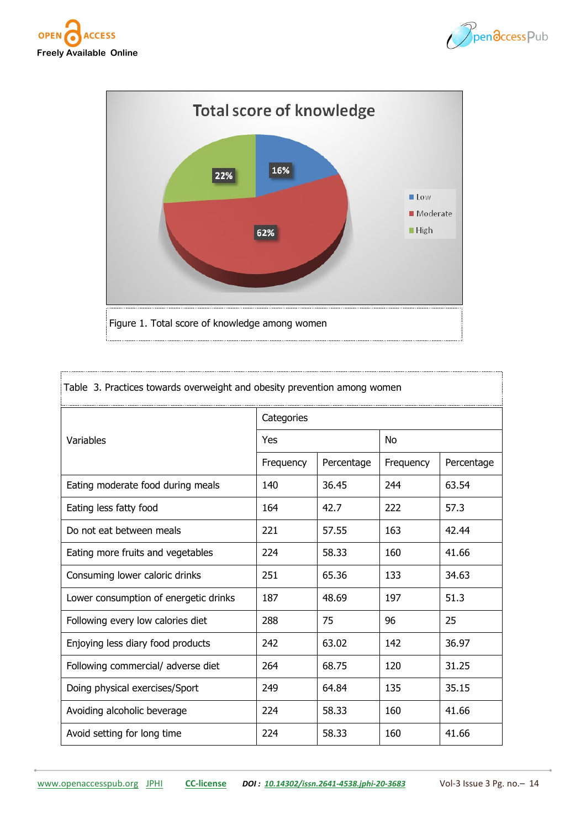





| Table 3. Practices towards overweight and obesity prevention among women |            |            |           |            |
|--------------------------------------------------------------------------|------------|------------|-----------|------------|
|                                                                          | Categories |            |           |            |
| Variables                                                                | Yes        |            | <b>No</b> |            |
|                                                                          | Frequency  | Percentage | Frequency | Percentage |
| Eating moderate food during meals                                        | 140        | 36.45      | 244       | 63.54      |
| Eating less fatty food                                                   | 164        | 42.7       | 222       | 57.3       |
| Do not eat between meals                                                 | 221        | 57.55      | 163       | 42.44      |
| Eating more fruits and vegetables                                        | 224        | 58.33      | 160       | 41.66      |
| Consuming lower caloric drinks                                           | 251        | 65.36      | 133       | 34.63      |
| Lower consumption of energetic drinks                                    | 187        | 48.69      | 197       | 51.3       |
| Following every low calories diet                                        | 288        | 75         | 96        | 25         |
| Enjoying less diary food products                                        | 242        | 63.02      | 142       | 36.97      |
| Following commercial/ adverse diet                                       | 264        | 68.75      | 120       | 31.25      |
| Doing physical exercises/Sport                                           | 249        | 64.84      | 135       | 35.15      |
| Avoiding alcoholic beverage                                              | 224        | 58.33      | 160       | 41.66      |
| Avoid setting for long time                                              | 224        | 58.33      | 160       | 41.66      |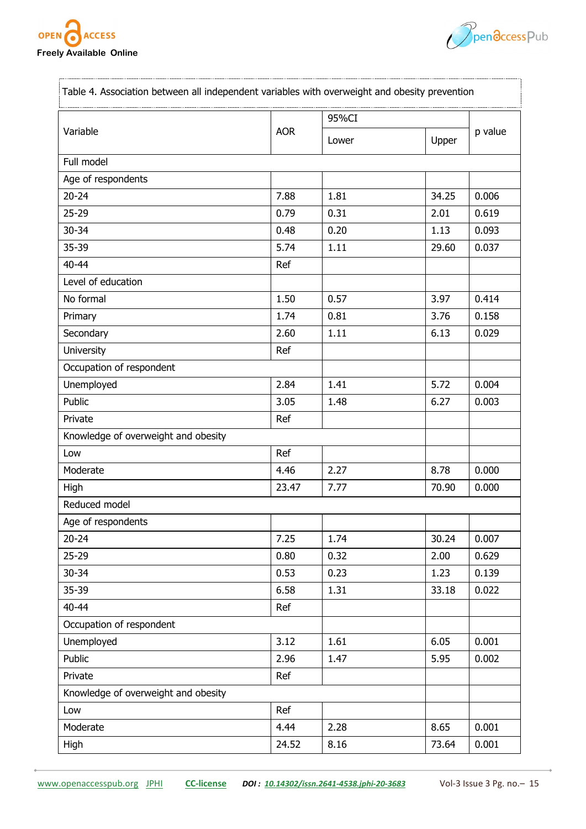

ç.,



| Variable                            |            | 95%CI |       | p value |
|-------------------------------------|------------|-------|-------|---------|
|                                     | <b>AOR</b> | Lower | Upper |         |
| Full model                          |            |       |       |         |
| Age of respondents                  |            |       |       |         |
| $20 - 24$                           | 7.88       | 1.81  | 34.25 | 0.006   |
| $25 - 29$                           | 0.79       | 0.31  | 2.01  | 0.619   |
| 30-34                               | 0.48       | 0.20  | 1.13  | 0.093   |
| 35-39                               | 5.74       | 1.11  | 29.60 | 0.037   |
| 40-44                               | Ref        |       |       |         |
| Level of education                  |            |       |       |         |
| No formal                           | 1.50       | 0.57  | 3.97  | 0.414   |
| Primary                             | 1.74       | 0.81  | 3.76  | 0.158   |
| Secondary                           | 2.60       | 1.11  | 6.13  | 0.029   |
| University                          | Ref        |       |       |         |
| Occupation of respondent            |            |       |       |         |
| Unemployed                          | 2.84       | 1.41  | 5.72  | 0.004   |
| Public                              | 3.05       | 1.48  | 6.27  | 0.003   |
| Private                             | Ref        |       |       |         |
| Knowledge of overweight and obesity |            |       |       |         |
| Low                                 | Ref        |       |       |         |
| Moderate                            | 4.46       | 2.27  | 8.78  | 0.000   |
| High                                | 23.47      | 7.77  | 70.90 | 0.000   |
| Reduced model                       |            |       |       |         |
| Age of respondents                  |            |       |       |         |
| $20 - 24$                           | 7.25       | 1.74  | 30.24 | 0.007   |
| 25-29                               | 0.80       | 0.32  | 2.00  | 0.629   |
| 30-34                               | 0.53       | 0.23  | 1.23  | 0.139   |
| 35-39                               | 6.58       | 1.31  | 33.18 | 0.022   |
| 40-44                               | Ref        |       |       |         |
| Occupation of respondent            |            |       |       |         |
| Unemployed                          | 3.12       | 1.61  | 6.05  | 0.001   |
| Public                              | 2.96       | 1.47  | 5.95  | 0.002   |
| Private                             | Ref        |       |       |         |
| Knowledge of overweight and obesity |            |       |       |         |
| Low                                 | Ref        |       |       |         |
| Moderate                            | 4.44       | 2.28  | 8.65  | 0.001   |
| <b>High</b>                         | 24.52      | 8.16  | 73.64 | 0.001   |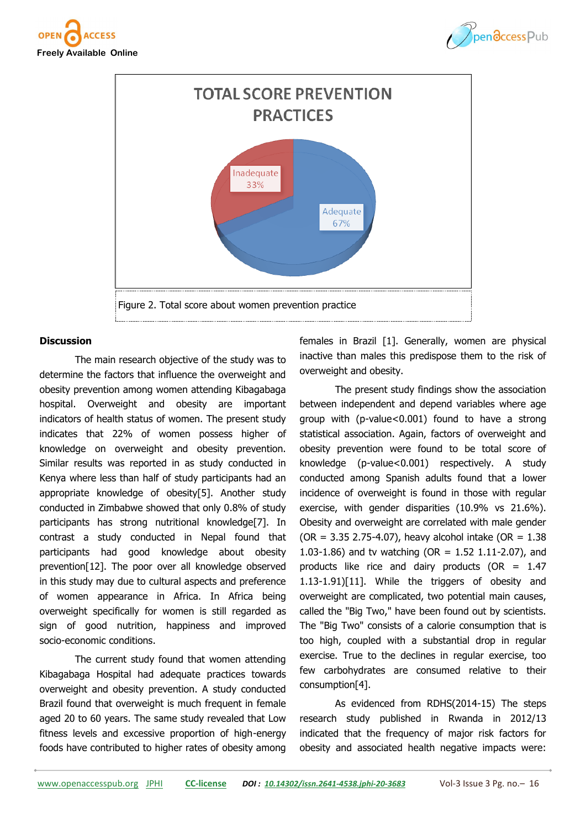





#### **Discussion**

The main research objective of the study was to determine the factors that influence the overweight and obesity prevention among women attending Kibagabaga hospital. Overweight and obesity are important indicators of health status of women. The present study indicates that 22% of women possess higher of knowledge on overweight and obesity prevention. Similar results was reported in as study conducted in Kenya where less than half of study participants had an appropriate knowledge of obesity[5]. Another study conducted in Zimbabwe showed that only 0.8% of study participants has strong nutritional knowledge[7]. In contrast a study conducted in Nepal found that participants had good knowledge about obesity prevention[12]. The poor over all knowledge observed in this study may due to cultural aspects and preference of women appearance in Africa. In Africa being overweight specifically for women is still regarded as sign of good nutrition, happiness and improved socio-economic conditions.

The current study found that women attending Kibagabaga Hospital had adequate practices towards overweight and obesity prevention. A study conducted Brazil found that overweight is much frequent in female aged 20 to 60 years. The same study revealed that Low fitness levels and excessive proportion of high-energy foods have contributed to higher rates of obesity among

females in Brazil [1]. Generally, women are physical inactive than males this predispose them to the risk of overweight and obesity.

The present study findings show the association between independent and depend variables where age group with (p-value<0.001) found to have a strong statistical association. Again, factors of overweight and obesity prevention were found to be total score of knowledge (p-value<0.001) respectively. A study conducted among Spanish adults found that a lower incidence of overweight is found in those with regular exercise, with gender disparities (10.9% vs 21.6%). Obesity and overweight are correlated with male gender (OR = 3.35 2.75-4.07), heavy alcohol intake (OR =  $1.38$ ) 1.03-1.86) and tv watching (OR = 1.52 1.11-2.07), and products like rice and dairy products (OR = 1.47 1.13-1.91)[11]. While the triggers of obesity and overweight are complicated, two potential main causes, called the "Big Two," have been found out by scientists. The "Big Two" consists of a calorie consumption that is too high, coupled with a substantial drop in regular exercise. True to the declines in regular exercise, too few carbohydrates are consumed relative to their consumption[4].

As evidenced from RDHS(2014-15) The steps research study published in Rwanda in 2012/13 indicated that the frequency of major risk factors for obesity and associated health negative impacts were: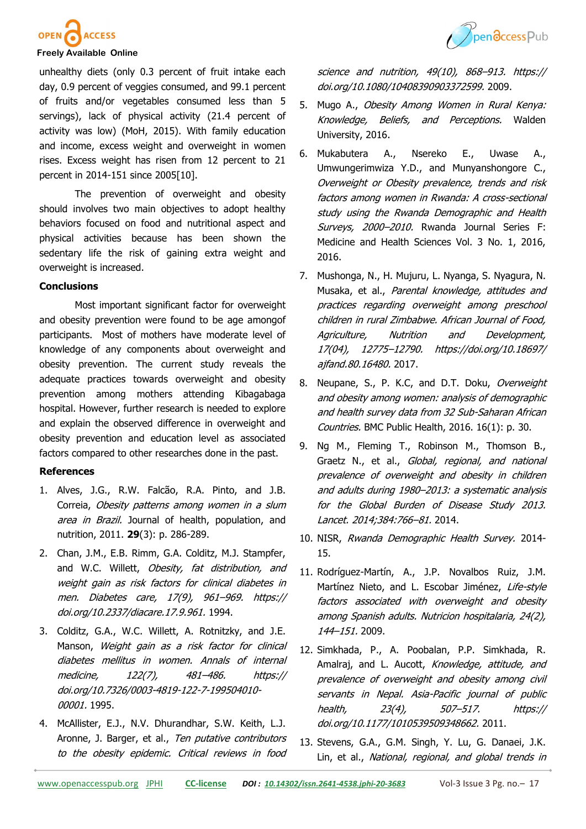



### **Freely Available Online**

unhealthy diets (only 0.3 percent of fruit intake each day, 0.9 percent of veggies consumed, and 99.1 percent of fruits and/or vegetables consumed less than 5 servings), lack of physical activity (21.4 percent of activity was low) (MoH, 2015). With family education and income, excess weight and overweight in women rises. Excess weight has risen from 12 percent to 21 percent in 2014-151 since 2005[10].

The prevention of overweight and obesity should involves two main objectives to adopt healthy behaviors focused on food and nutritional aspect and physical activities because has been shown the sedentary life the risk of gaining extra weight and overweight is increased.

#### **Conclusions**

Most important significant factor for overweight and obesity prevention were found to be age amongof participants. Most of mothers have moderate level of knowledge of any components about overweight and obesity prevention. The current study reveals the adequate practices towards overweight and obesity prevention among mothers attending Kibagabaga hospital. However, further research is needed to explore and explain the observed difference in overweight and obesity prevention and education level as associated factors compared to other researches done in the past.

#### **References**

- 1. Alves, J.G., R.W. Falcão, R.A. Pinto, and J.B. Correia, Obesity patterns among women in a slum area in Brazil. Journal of health, population, and nutrition, 2011. **29**(3): p. 286-289.
- 2. Chan, J.M., E.B. Rimm, G.A. Colditz, M.J. Stampfer, and W.C. Willett, Obesity, fat distribution, and weight gain as risk factors for clinical diabetes in men. Diabetes care, 17(9), 961–969. https:// doi.org/10.2337/diacare.17.9.961. 1994.
- 3. Colditz, G.A., W.C. Willett, A. Rotnitzky, and J.E. Manson, Weight gain as a risk factor for clinical diabetes mellitus in women. Annals of internal medicine, 122(7), 481–486. https:// doi.org/10.7326/0003-4819-122-7-199504010- 00001. 1995.
- 4. McAllister, E.J., N.V. Dhurandhar, S.W. Keith, L.J. Aronne, J. Barger, et al., Ten putative contributors to the obesity epidemic. Critical reviews in food

science and nutrition, 49(10), 868–913. https:// doi.org/10.1080/10408390903372599. 2009.

- 5. Mugo A., Obesity Among Women in Rural Kenya: Knowledge, Beliefs, and Perceptions. Walden University, 2016.
- 6. Mukabutera A., Nsereko E., Uwase A., Umwungerimwiza Y.D., and Munyanshongore C., Overweight or Obesity prevalence, trends and risk factors among women in Rwanda: A cross-sectional study using the Rwanda Demographic and Health Surveys, 2000-2010. Rwanda Journal Series F: Medicine and Health Sciences Vol. 3 No. 1, 2016, 2016.
- 7. Mushonga, N., H. Mujuru, L. Nyanga, S. Nyagura, N. Musaka, et al., Parental knowledge, attitudes and practices regarding overweight among preschool children in rural Zimbabwe. African Journal of Food, Agriculture, Nutrition and Development, 17(04), 12775–12790. https://doi.org/10.18697/ ajfand.80.16480, 2017.
- 8. Neupane, S., P. K.C, and D.T. Doku, Overweight and obesity among women: analysis of demographic and health survey data from 32 Sub-Saharan African Countries. BMC Public Health, 2016. 16(1): p. 30.
- 9. Ng M., Fleming T., Robinson M., Thomson B., Graetz N., et al., Global, regional, and national prevalence of overweight and obesity in children and adults during 1980–2013: a systematic analysis for the Global Burden of Disease Study 2013. Lancet. 2014;384:766–81. 2014.
- 10. NISR, Rwanda Demographic Health Survey, 2014-15.
- 11. Rodríguez-Martín, A., J.P. Novalbos Ruiz, J.M. Martínez Nieto, and L. Escobar Jiménez, Life-style factors associated with overweight and obesity among Spanish adults. Nutricion hospitalaria, 24(2), 144–151. 2009.
- 12. Simkhada, P., A. Poobalan, P.P. Simkhada, R. Amalraj, and L. Aucott, Knowledge, attitude, and prevalence of overweight and obesity among civil servants in Nepal. Asia-Pacific journal of public health, 23(4), 507–517. https:// doi.org/10.1177/1010539509348662. 2011.
- 13. Stevens, G.A., G.M. Singh, Y. Lu, G. Danaei, J.K. Lin, et al., National, regional, and global trends in